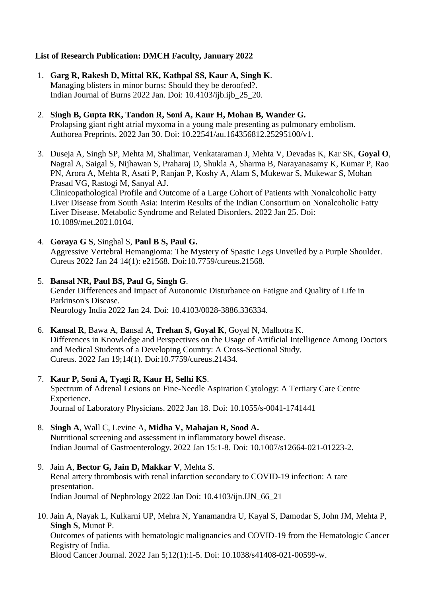# **List of Research Publication: DMCH Faculty, January 2022**

- 1. **Garg R, Rakesh D, Mittal RK, Kathpal SS, Kaur A, Singh K**. Managing blisters in minor burns: Should they be deroofed?. Indian Journal of Burns 2022 Jan. Doi: 10.4103/ijb.ijb\_25\_20.
- 2. **Singh B, Gupta RK, Tandon R, Soni A, Kaur H, Mohan B, Wander G.** Prolapsing giant right atrial myxoma in a young male presenting as pulmonary embolism. Authorea Preprints. 2022 Jan 30. Doi: 10.22541/au.164356812.25295100/v1.
- 3. Duseja A, Singh SP, Mehta M, Shalimar, Venkataraman J, Mehta V, Devadas K, Kar SK, **Goyal O**, Nagral A, Saigal S, Nijhawan S, Praharaj D, Shukla A, Sharma B, Narayanasamy K, Kumar P, Rao PN, Arora A, Mehta R, Asati P, Ranjan P, Koshy A, Alam S, Mukewar S, Mukewar S, Mohan Prasad VG, Rastogi M, Sanyal AJ. Clinicopathological Profile and Outcome of a Large Cohort of Patients with Nonalcoholic Fatty Liver Disease from South Asia: Interim Results of the Indian Consortium on Nonalcoholic Fatty Liver Disease. Metabolic Syndrome and Related Disorders. 2022 Jan 25. Doi: 10.1089/met.2021.0104.
- 4. **Goraya G S**, Singhal S, **Paul B S, Paul G.** Aggressive Vertebral Hemangioma: The Mystery of Spastic Legs Unveiled by a Purple Shoulder. Cureus 2022 Jan 24 14(1): e21568. Doi:10.7759/cureus.21568.
- 5. **Bansal NR, Paul BS, Paul G, Singh G**. Gender Differences and Impact of Autonomic Disturbance on Fatigue and Quality of Life in Parkinson's Disease. Neurology India 2022 Jan 24. Doi: 10.4103/0028-3886.336334.
- 6. **Kansal R**, Bawa A, Bansal A, **Trehan S, Goyal K**, Goyal N, Malhotra K. Differences in Knowledge and Perspectives on the Usage of Artificial Intelligence Among Doctors and Medical Students of a Developing Country: A Cross-Sectional Study. Cureus. 2022 Jan 19;14(1). Doi:10.7759/cureus.21434.
- 7. **Kaur P, Soni A, Tyagi R, Kaur H, Selhi KS**. Spectrum of Adrenal Lesions on Fine-Needle Aspiration Cytology: A Tertiary Care Centre Experience. Journal of Laboratory Physicians. 2022 Jan 18. Doi: 10.1055/s-0041-1741441
- 8. **Singh A**, Wall C, Levine A, **Midha V, Mahajan R, Sood A.** Nutritional screening and assessment in inflammatory bowel disease. Indian Journal of Gastroenterology. 2022 Jan 15:1-8. Doi: 10.1007/s12664-021-01223-2.
- 9. Jain A, **Bector G, Jain D, Makkar V**, Mehta S. Renal artery thrombosis with renal infarction secondary to COVID-19 infection: A rare presentation. Indian Journal of Nephrology 2022 Jan Doi: 10.4103/ijn.IJN\_66\_21
- 10. Jain A, Nayak L, Kulkarni UP, Mehra N, Yanamandra U, Kayal S, Damodar S, John JM, Mehta P, **Singh S**, Munot P.

Outcomes of patients with hematologic malignancies and COVID-19 from the Hematologic Cancer Registry of India.

Blood Cancer Journal. 2022 Jan 5;12(1):1-5. Doi: 10.1038/s41408-021-00599-w.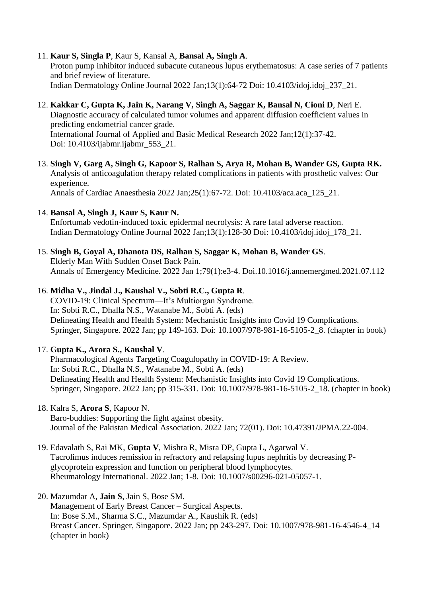#### 11. **Kaur S, Singla P**, Kaur S, Kansal A, **Bansal A, Singh A**.

Proton pump inhibitor induced subacute cutaneous lupus erythematosus: A case series of 7 patients and brief review of literature. Indian Dermatology Online Journal 2022 Jan;13(1):64-72 Doi: 10.4103/idoj.idoj\_237\_21.

#### 12. **Kakkar C, Gupta K, Jain K, Narang V, Singh A, Saggar K, Bansal N, Cioni D**, Neri E. Diagnostic accuracy of calculated tumor volumes and apparent diffusion coefficient values in predicting endometrial cancer grade.

International Journal of Applied and Basic Medical Research 2022 Jan;12(1):37-42. Doi: 10.4103/ijabmr.ijabmr\_553\_21.

13. **Singh V, Garg A, Singh G, Kapoor S, Ralhan S, Arya R, Mohan B, Wander GS, Gupta RK.** Analysis of anticoagulation therapy related complications in patients with prosthetic valves: Our experience. Annals of Cardiac Anaesthesia 2022 Jan;25(1):67-72. Doi: 10.4103/aca.aca\_125\_21.

## 14. **Bansal A, Singh J, Kaur S, Kaur N.**

Enfortumab vedotin-induced toxic epidermal necrolysis: A rare fatal adverse reaction. Indian Dermatology Online Journal 2022 Jan;13(1):128-30 Doi: 10.4103/idoj.idoj\_178\_21.

## 15. **Singh B, Goyal A, Dhanota DS, Ralhan S, Saggar K, Mohan B, Wander GS**.

Elderly Man With Sudden Onset Back Pain. Annals of Emergency Medicine. 2022 Jan 1;79(1):e3-4. Doi.10.1016/j.annemergmed.2021.07.112

## 16. **Midha V., Jindal J., Kaushal V., Sobti R.C., Gupta R**.

COVID-19: Clinical Spectrum—It's Multiorgan Syndrome. In: Sobti R.C., Dhalla N.S., Watanabe M., Sobti A. (eds) Delineating Health and Health System: Mechanistic Insights into Covid 19 Complications. Springer, Singapore. 2022 Jan; pp 149-163. Doi: 10.1007/978-981-16-5105-2 8. (chapter in book)

## 17. **Gupta K., Arora S., Kaushal V**.

Pharmacological Agents Targeting Coagulopathy in COVID-19: A Review. In: Sobti R.C., Dhalla N.S., Watanabe M., Sobti A. (eds) Delineating Health and Health System: Mechanistic Insights into Covid 19 Complications. Springer, Singapore. 2022 Jan; pp 315-331. Doi: 10.1007/978-981-16-5105-2\_18. (chapter in book)

- 18. Kalra S, **Arora S**, Kapoor N. Baro-buddies: Supporting the fight against obesity. Journal of the Pakistan Medical Association. 2022 Jan; 72(01). Doi: 10.47391/JPMA.22-004.
- 19. Edavalath S, Rai MK, **Gupta V**, Mishra R, Misra DP, Gupta L, Agarwal V. Tacrolimus induces remission in refractory and relapsing lupus nephritis by decreasing Pglycoprotein expression and function on peripheral blood lymphocytes. Rheumatology International. 2022 Jan; 1-8. Doi: 10.1007/s00296-021-05057-1.

#### 20. Mazumdar A, **Jain S**, Jain S, Bose SM. Management of Early Breast Cancer – Surgical Aspects. In: Bose S.M., Sharma S.C., Mazumdar A., Kaushik R. (eds) Breast Cancer. Springer, Singapore. 2022 Jan; pp 243-297. Doi: 10.1007/978-981-16-4546-4\_14 (chapter in book)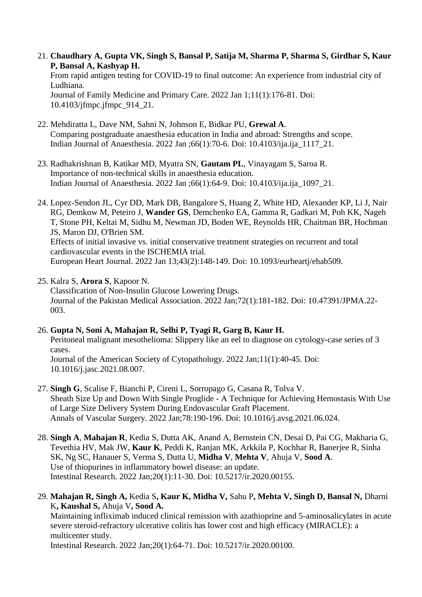- 21. **Chaudhary A, Gupta VK, Singh S, Bansal P, Satija M, Sharma P, Sharma S, Girdhar S, Kaur P, Bansal A, Kashyap H.** From rapid antigen testing for COVID-19 to final outcome: An experience from industrial city of Ludhiana. Journal of Family Medicine and Primary Care. 2022 Jan 1;11(1):176-81. Doi: 10.4103/jfmpc.jfmpc\_914\_21.
- 22. Mehdiratta L, Dave NM, Sahni N, Johnson E, Bidkar PU, **Grewal A**. Comparing postgraduate anaesthesia education in India and abroad: Strengths and scope. Indian Journal of Anaesthesia. 2022 Jan ;66(1):70-6. Doi: 10.4103/ija.ija\_1117\_21.
- 23. Radhakrishnan B, Katikar MD, Myatra SN, **Gautam PL**, Vinayagam S, Saroa R. Importance of non-technical skills in anaesthesia education. Indian Journal of Anaesthesia. 2022 Jan ;66(1):64-9. Doi: 10.4103/ija.ija\_1097\_21.
- 24. Lopez-Sendon JL, Cyr DD, Mark DB, Bangalore S, Huang Z, White HD, Alexander KP, Li J, Nair RG, Demkow M, Peteiro J, **Wander GS**, Demchenko EA, Gamma R, Gadkari M, Poh KK, Nageh T, Stone PH, Keltai M, Sidhu M, Newman JD, Boden WE, Reynolds HR, Chaitman BR, Hochman JS, Maron DJ, O'Brien SM. Effects of initial invasive vs. initial conservative treatment strategies on recurrent and total cardiovascular events in the ISCHEMIA trial. European Heart Journal. 2022 Jan 13;43(2):148-149. Doi: 10.1093/eurheartj/ehab509.
- 25. Kalra S, **Arora S**, Kapoor N. Classification of Non-Insulin Glucose Lowering Drugs. Journal of the Pakistan Medical Association. 2022 Jan;72(1):181-182. Doi: 10.47391/JPMA.22- 003.
- 26. **Gupta N, Soni A, Mahajan R, Selhi P, Tyagi R, Garg B, Kaur H.** Peritoneal malignant mesothelioma: Slippery like an eel to diagnose on cytology-case series of 3 cases. Journal of the American Society of Cytopathology. 2022 Jan;11(1):40-45. Doi: 10.1016/j.jasc.2021.08.007.
- 27. **Singh G**, Scalise F, Bianchi P, Cireni L, Sorropago G, Casana R, Tolva V. Sheath Size Up and Down With Single Proglide - A Technique for Achieving Hemostasis With Use of Large Size Delivery System During Endovascular Graft Placement. Annals of Vascular Surgery. 2022 Jan;78:190-196. Doi: 10.1016/j.avsg.2021.06.024.
- 28. **Singh A**, **Mahajan R**, Kedia S, Dutta AK, Anand A, Bernstein CN, Desai D, Pai CG, Makharia G, Tevethia HV, Mak JW, **Kaur K**, Peddi K, Ranjan MK, Arkkila P, Kochhar R, Banerjee R, Sinha SK, Ng SC, Hanauer S, Verma S, Dutta U, **Midha V**, **Mehta V**, Ahuja V, **Sood A**. Use of thiopurines in inflammatory bowel disease: an update. Intestinal Research. 2022 Jan;20(1):11-30. Doi: 10.5217/ir.2020.00155.
- 29. **Mahajan R, Singh A,** Kedia S**, Kaur K, Midha V,** Sahu P**, Mehta V, Singh D, Bansal N,** Dharni K**, Kaushal S,** Ahuja V**, Sood A.**

Maintaining infliximab induced clinical remission with azathioprine and 5-aminosalicylates in acute severe steroid-refractory ulcerative colitis has lower cost and high efficacy (MIRACLE): a multicenter study. Intestinal Research. 2022 Jan;20(1):64-71. Doi: 10.5217/ir.2020.00100.